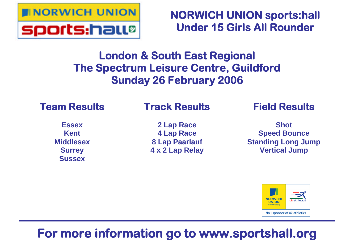

**NORWICH UNION sports:hall Under 15 Girls All Rounder**

# **London & South East Regional The Spectrum Leisure Centre, Guildford Sunday 26 February 2006**

# **Team Results**

## **Track Results**

**Essex Kent Middlesex Surrey Sussex**

**2 Lap Race 4 Lap Race 8 Lap Paarlauf 4 x 2 Lap Relay** **Field Results**

**Shot Speed Bounce Standing Long Jump Vertical Jump**



# **For more information go to www.sportshall.org**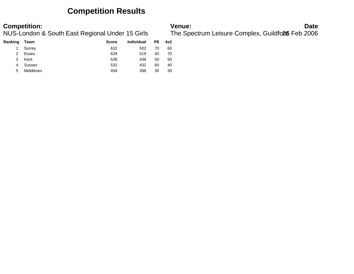### **Competition Results**

| Ranking | Team      | <b>Score</b> | <b>Individual</b> | P8 | 4x2 |
|---------|-----------|--------------|-------------------|----|-----|
|         | Surrey    | 632          | 502               | 70 | 60  |
| 2       | Essex     | 629          | 519               | 40 | 70  |
| 3       | Kent      | 538          | 438               | 50 | 50  |
| 4       | Sussex    | 532          | 432               | 60 | 40  |
| 5       | Middlesex | 458          | 398               | 30 | 30  |

**Competition:**<br>**Date**<br>NUS-London & South East Regional Under 15 Girls The Spectrum Leisure Complex, Guildfoll Feb 2006 The Spectrum Leisure Complex, Guildford6 Feb 2006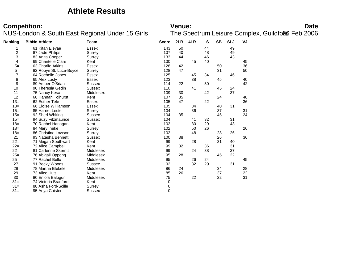### **Athlete Results**

**Competition:**<br>**Date**<br>NUS-London & South East Regional Under 15 Girls The Spectrum Leisure Complex, Guildfoll Feb 2006 The Spectrum Leisure Complex, Guildford6 Feb 2006

| Ranking                 | <b>BibNo Athlete</b>    | <b>Team</b>   | <b>Score</b>     | 2LR | 4LR | s  | SB | <b>SLJ</b> | VJ |  |
|-------------------------|-------------------------|---------------|------------------|-----|-----|----|----|------------|----|--|
|                         | 61 Kitan Eleyae         | Essex         | 143              | 50  |     | 44 |    | 49         |    |  |
| $\overline{\mathbf{c}}$ | 87 Jade Philips         | Surrey        | 137              | 40  |     | 48 |    | 49         |    |  |
| 3                       | 83 Anita Cooper         | Surrey        | 133              | 44  |     | 46 |    | 43         |    |  |
| 4                       | 69 Chantelle Clare      | Kent          | 130              |     | 45  | 40 |    |            | 45 |  |
| $5=$                    | 63 Charlie Atkins       | Essex         | 128              | 42  |     |    | 50 |            | 36 |  |
| $5=$                    | 82 Robyn St. Luce-Boyce | Surrey        | 128              | 47  |     |    | 31 |            | 50 |  |
| $\overline{7}$          | 64 Rochelle Jones       | Essex         | 125              |     | 45  | 34 |    | 46         |    |  |
| 8                       | 65 Alex Lusty           | Essex         | 123              |     | 38  |    | 45 |            | 40 |  |
| 9                       | 89 Amber O'Brian        | Sussex        | 114              | 22  |     | 50 |    |            | 42 |  |
| 10                      | 90 Theresia Gedin       | <b>Sussex</b> | 110              |     | 41  |    | 45 | 24         |    |  |
| 11                      | 75 Nancy Kesa           | Middlesex     | 109              | 30  |     | 42 |    | 37         |    |  |
| 12                      | 68 Hannah Tolhurst      | Kent          | 107              | 35  |     |    | 24 |            | 48 |  |
| $13 =$                  | 62 Esther Tele          | Essex         | 105              | 47  |     | 22 |    |            | 36 |  |
| $13=$                   | 66 Eloise Williamson    | Essex         | 105              |     | 34  |    | 40 | 31         |    |  |
| $15=$                   | 85 Harriet Lester       | Surrey        | 104              |     | 36  |    | 37 |            | 31 |  |
| $15=$                   | 92 Sheri Whiting        | Sussex        | 104              | 35  |     |    | 45 |            | 24 |  |
| $15=$                   | 94 Suzy Fitzmaurice     | Sussex        | 104              |     | 41  | 32 |    | 31         |    |  |
| $18 =$                  | 70 Rachel Hanagan       | Kent          | 102              |     | 30  | 29 |    | 43         |    |  |
| $18 =$                  | 84 Mary Iheke           | Surrey        | 102              |     | 50  | 26 |    |            | 26 |  |
| $18 =$                  | 86 Christine Lowson     | Surrey        | 102              |     | 48  |    | 28 | 26         |    |  |
| 21                      | 93 Natasha Bennett      | Sussex        | 100              | 38  |     |    | 26 |            | 36 |  |
| $22=$                   | 71 Megan Southwart      | Kent          | 99               |     | 28  |    | 31 | 40         |    |  |
| $22 =$                  | 72 Alice Campbell       | Kent          | 99               | 32  |     | 36 |    | 31         |    |  |
| $22 =$                  | 81 Carlenne Skerritt    | Middlesex     | 99               |     | 24  | 38 |    | 37         |    |  |
| $25=$                   | 76 Abigail Oppong       | Middlesex     | 95               | 28  |     |    | 45 | 22         |    |  |
| $25=$                   | 77 Rachel Bello         | Middlesex     | 95               |     | 26  | 24 |    |            | 45 |  |
| 27                      | 91 Becky Woods          | <b>Sussex</b> | 92               |     | 32  | 29 |    | 31         |    |  |
| 28                      | 78 Martha Efekele       | Middlesex     | 86               | 24  |     |    | 34 |            | 28 |  |
| 29                      | 73 Alice Hutt           | Kent          | 85               | 26  |     |    | 37 |            | 22 |  |
| 30                      | 80 Eniola Balogun       | Middlesex     | 75               |     | 22  |    | 22 |            | 31 |  |
| $31 =$                  | 74 Victoria Bradford    | Kent          | 0                |     |     |    |    |            |    |  |
| $31 =$                  | 88 Asha Ford-Scille     | Surrey        | $\boldsymbol{0}$ |     |     |    |    |            |    |  |
| $31 =$                  | 95 Anya Caister         | Sussex        | $\mathbf 0$      |     |     |    |    |            |    |  |
|                         |                         |               |                  |     |     |    |    |            |    |  |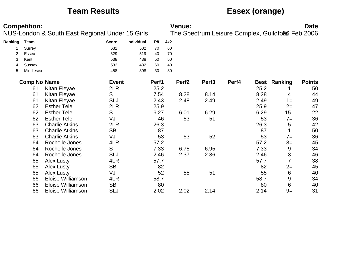## **Team Results Essex (orange)**

|         | <b>Competition:</b> | NUS-London & South East Regional Under 15 Girls |              |            |                |     | <b>Venue:</b>     |                   |       |      | The Spectrum Leisure Complex, Guildfol 6 Feb 2006 | <b>Date</b>   |
|---------|---------------------|-------------------------------------------------|--------------|------------|----------------|-----|-------------------|-------------------|-------|------|---------------------------------------------------|---------------|
| Ranking | Team                |                                                 | <b>Score</b> | Individual | P <sub>8</sub> | 4x2 |                   |                   |       |      |                                                   |               |
|         | Surrey              |                                                 | 632          | 502        | 70             | 60  |                   |                   |       |      |                                                   |               |
| 2       | Essex               |                                                 | 629          | 519        | 40             | 70  |                   |                   |       |      |                                                   |               |
| 3       | Kent                |                                                 | 538          | 438        | 50             | 50  |                   |                   |       |      |                                                   |               |
| 4       | <b>Sussex</b>       |                                                 | 532          | 432        | 60             | 40  |                   |                   |       |      |                                                   |               |
| 5       | Middlesex           |                                                 | 458          | 398        | 30             | 30  |                   |                   |       |      |                                                   |               |
|         | <b>Comp No Name</b> |                                                 | <b>Event</b> |            | Perf1          |     | Perf <sub>2</sub> | Perf <sub>3</sub> | Perf4 |      | <b>Best Ranking</b>                               | <b>Points</b> |
|         | 61                  | Kitan Eleyae                                    | 2LR          |            | 25.2           |     |                   |                   |       | 25.2 |                                                   | 50            |
|         | 61                  | Kitan Eleyae                                    | S            |            | 7.54           |     | 8.28              | 8.14              |       | 8.28 | 4                                                 | 44            |
|         | 61                  | Kitan Eleyae                                    | <b>SLJ</b>   |            | 2.43           |     | 2.48              | 2.49              |       | 2.49 | $1 =$                                             | 49            |
|         | 62                  | <b>Esther Tele</b>                              | 2LR          |            | 25.9           |     |                   |                   |       | 25.9 | $2=$                                              | 47            |
|         | 62                  | <b>Esther Tele</b>                              | S            |            | 6.27           |     | 6.01              | 6.29              |       | 6.29 | 15                                                | 22            |
|         | 62                  | <b>Esther Tele</b>                              | VJ           |            | 46             |     | 53                | 51                |       | 53   | $7=$                                              | 36            |
|         | 63                  | <b>Charlie Atkins</b>                           | 2LR          |            | 26.3           |     |                   |                   |       | 26.3 | 5                                                 | 42            |
|         | 63                  | <b>Charlie Atkins</b>                           | <b>SB</b>    |            | 87             |     |                   |                   |       | 87   |                                                   | 50            |
|         | 63                  | <b>Charlie Atkins</b>                           | VJ           |            | 53             |     | 53                | 52                |       | 53   | $7 =$                                             | 36            |
|         | 64                  | Rochelle Jones                                  | 4LR          |            | 57.2           |     |                   |                   |       | 57.2 | $3=$                                              | 45            |
|         | 64                  | Rochelle Jones                                  | S            |            | 7.33           |     | 6.75              | 6.95              |       | 7.33 | 9                                                 | 34            |
|         | 64                  | Rochelle Jones                                  | <b>SLJ</b>   |            | 2.46           |     | 2.37              | 2.36              |       | 2.46 | 3                                                 | 46            |
|         | 65                  | Alex Lusty                                      | 4LR          |            | 57.7           |     |                   |                   |       | 57.7 | $\overline{7}$                                    | 38            |
|         | 65                  | <b>Alex Lusty</b>                               | <b>SB</b>    |            | 82             |     |                   |                   |       | 82   | $2=$                                              | 45            |
|         | 65                  | Alex Lusty                                      | VJ           |            | 52             |     | 55                | 51                |       | 55   | 6                                                 | 40            |
|         | 66                  | Eloise Williamson                               | 4LR          |            | 58.7           |     |                   |                   |       | 58.7 | 9                                                 | 34            |
|         | 66                  | Eloise Williamson                               | <b>SB</b>    |            | 80             |     |                   |                   |       | 80   | 6                                                 | 40            |
|         | 66                  | Eloise Williamson                               | <b>SLJ</b>   |            | 2.02           |     | 2.02              | 2.14              |       | 2.14 | $9=$                                              | 31            |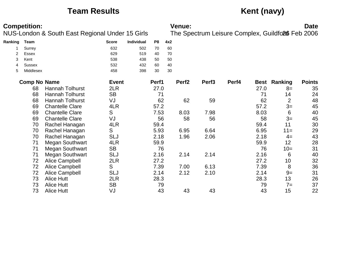## **Team Results Kent (navy)**

|         | <b>Competition:</b> | NUS-London & South East Regional Under 15 Girls |              |            |                |     | <b>Venue:</b>     |                   |       |      | The Spectrum Leisure Complex, Guildfo26 Feb 2006 | <b>Date</b>   |
|---------|---------------------|-------------------------------------------------|--------------|------------|----------------|-----|-------------------|-------------------|-------|------|--------------------------------------------------|---------------|
| Ranking | Team                |                                                 | <b>Score</b> | Individual | P <sub>8</sub> | 4x2 |                   |                   |       |      |                                                  |               |
|         | Surrey              |                                                 | 632          | 502        | 70             | 60  |                   |                   |       |      |                                                  |               |
| 2       | <b>Essex</b>        |                                                 | 629          | 519        | 40             | 70  |                   |                   |       |      |                                                  |               |
| 3       | Kent                |                                                 | 538          | 438        | 50             | 50  |                   |                   |       |      |                                                  |               |
| 4       | <b>Sussex</b>       |                                                 | 532          | 432        | 60             | 40  |                   |                   |       |      |                                                  |               |
| 5       | Middlesex           |                                                 | 458          | 398        | 30             | 30  |                   |                   |       |      |                                                  |               |
|         | <b>Comp No Name</b> |                                                 | <b>Event</b> |            | Perf1          |     | Perf <sub>2</sub> | Perf <sub>3</sub> | Perf4 |      | <b>Best Ranking</b>                              | <b>Points</b> |
|         | 68                  | <b>Hannah Tolhurst</b>                          | 2LR          |            | 27.0           |     |                   |                   |       | 27.0 | $8=$                                             | 35            |
|         | 68                  | <b>Hannah Tolhurst</b>                          | <b>SB</b>    |            | 71             |     |                   |                   |       | 71   | 14                                               | 24            |
|         | 68                  | <b>Hannah Tolhurst</b>                          | VJ           |            | 62             |     | 62                | 59                |       | 62   | $\overline{2}$                                   | 48            |
|         | 69                  | <b>Chantelle Clare</b>                          | 4LR          |            | 57.2           |     |                   |                   |       | 57.2 | $3=$                                             | 45            |
|         | 69                  | <b>Chantelle Clare</b>                          | S            |            | 7.53           |     | 8.03              | 7.98              |       | 8.03 | 6                                                | 40            |
|         | 69                  | <b>Chantelle Clare</b>                          | VJ           |            | 56             |     | 58                | 56                |       | 58   | $3=$                                             | 45            |
|         | 70                  | Rachel Hanagan                                  | 4LR          |            | 59.4           |     |                   |                   |       | 59.4 | 11                                               | 30            |
|         | 70                  | Rachel Hanagan                                  | S            |            | 5.93           |     | 6.95              | 6.64              |       | 6.95 | $11 =$                                           | 29            |
|         | 70                  | Rachel Hanagan                                  | <b>SLJ</b>   |            | 2.18           |     | 1.96              | 2.06              |       | 2.18 | $4=$                                             | 43            |
|         | 71                  | <b>Megan Southwart</b>                          | 4LR          |            | 59.9           |     |                   |                   |       | 59.9 | 12                                               | 28            |
|         | 71                  | <b>Megan Southwart</b>                          | <b>SB</b>    |            | 76             |     |                   |                   |       | 76   | $10=$                                            | 31            |
|         | 71                  | <b>Megan Southwart</b>                          | <b>SLJ</b>   |            | 2.16           |     | 2.14              | 2.14              |       | 2.16 | 6                                                | 40            |
|         | 72                  | <b>Alice Campbell</b>                           | 2LR          |            | 27.2           |     |                   |                   |       | 27.2 | 10                                               | 32            |
|         | 72                  | <b>Alice Campbell</b>                           | S            |            | 7.39           |     | 7.00              | 6.13              |       | 7.39 | 8                                                | 36            |
|         | 72                  | Alice Campbell                                  | <b>SLJ</b>   |            | 2.14           |     | 2.12              | 2.10              |       | 2.14 | $9=$                                             | 31            |
|         | 73                  | <b>Alice Hutt</b>                               | 2LR          |            | 28.3           |     |                   |                   |       | 28.3 | 13                                               | 26            |
|         | 73                  | <b>Alice Hutt</b>                               | <b>SB</b>    |            | 79             |     |                   |                   |       | 79   | $7=$                                             | 37            |
|         | 73                  | <b>Alice Hutt</b>                               | VJ           |            | 43             |     | 43                | 43                |       | 43   | 15                                               | 22            |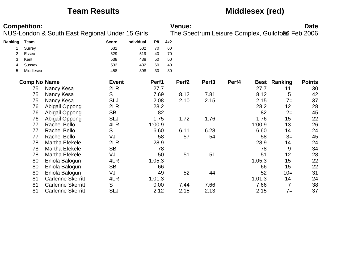## **Team Results Middlesex (red)**

|         | <b>Competition:</b> | NUS-London & South East Regional Under 15 Girls |              |            |        |     | <b>Venue:</b>     |                   |       |        | The Spectrum Leisure Complex, Guildfol 6 Feb 2006 | <b>Date</b>   |
|---------|---------------------|-------------------------------------------------|--------------|------------|--------|-----|-------------------|-------------------|-------|--------|---------------------------------------------------|---------------|
| Ranking | Team                |                                                 | <b>Score</b> | Individual | P8     | 4x2 |                   |                   |       |        |                                                   |               |
|         | Surrey              |                                                 | 632          | 502        | 70     | 60  |                   |                   |       |        |                                                   |               |
| 2       | Essex               |                                                 | 629          | 519        | 40     | 70  |                   |                   |       |        |                                                   |               |
| 3       | Kent                |                                                 | 538          | 438        | 50     | 50  |                   |                   |       |        |                                                   |               |
| 4       | <b>Sussex</b>       |                                                 | 532          | 432        | 60     | 40  |                   |                   |       |        |                                                   |               |
| 5       | Middlesex           |                                                 | 458          | 398        | 30     | 30  |                   |                   |       |        |                                                   |               |
|         | <b>Comp No Name</b> |                                                 | <b>Event</b> |            | Perf1  |     | Perf <sub>2</sub> | Perf <sub>3</sub> | Perf4 | Best   | Ranking                                           | <b>Points</b> |
|         | 75                  | Nancy Kesa                                      | 2LR          |            | 27.7   |     |                   |                   |       | 27.7   | 11                                                | 30            |
|         | 75                  | Nancy Kesa                                      | S            |            | 7.69   |     | 8.12              | 7.81              |       | 8.12   | 5                                                 | 42            |
|         | 75                  | Nancy Kesa                                      | <b>SLJ</b>   |            | 2.08   |     | 2.10              | 2.15              |       | 2.15   | $7 =$                                             | 37            |
|         | 76                  | Abigail Oppong                                  | 2LR          |            | 28.2   |     |                   |                   |       | 28.2   | 12                                                | 28            |
|         | 76                  | Abigail Oppong                                  | <b>SB</b>    |            | 82     |     |                   |                   |       | 82     | $2=$                                              | 45            |
|         | 76                  | Abigail Oppong                                  | <b>SLJ</b>   |            | 1.75   |     | 1.72              | 1.76              |       | 1.76   | 15                                                | 22            |
|         | 77                  | <b>Rachel Bello</b>                             | 4LR          |            | 1:00.9 |     |                   |                   |       | 1:00.9 | 13                                                | 26            |
|         | 77                  | <b>Rachel Bello</b>                             | S            |            | 6.60   |     | 6.11              | 6.28              |       | 6.60   | 14                                                | 24            |
|         | 77                  | <b>Rachel Bello</b>                             | VJ           |            | 58     |     | 57                | 54                |       | 58     | $3=$                                              | 45            |
|         | 78                  | Martha Efekele                                  | 2LR          |            | 28.9   |     |                   |                   |       | 28.9   | 14                                                | 24            |
|         | 78                  | Martha Efekele                                  | <b>SB</b>    |            | 78     |     |                   |                   |       | 78     | 9                                                 | 34            |
|         | 78                  | Martha Efekele                                  | VJ           |            | 50     |     | 51                | 51                |       | 51     | 12                                                | 28            |
|         | 80                  | Eniola Balogun                                  | 4LR          |            | 1:05.3 |     |                   |                   |       | 1:05.3 | 15                                                | 22            |
|         | 80                  | Eniola Balogun                                  | <b>SB</b>    |            | 66     |     |                   |                   |       | 66     | 15                                                | 22            |
|         | 80                  | Eniola Balogun                                  | VJ           |            | 49     |     | 52                | 44                |       | 52     | $10=$                                             | 31            |
|         | 81                  | <b>Carlenne Skerritt</b>                        | 4LR          |            | 1:01.3 |     |                   |                   |       | 1:01.3 | 14                                                | 24            |
|         | 81                  | <b>Carlenne Skerritt</b>                        | S            |            | 0.00   |     | 7.44              | 7.66              |       | 7.66   | $\overline{7}$                                    | 38            |
|         | 81                  | <b>Carlenne Skerritt</b>                        | <b>SLJ</b>   |            | 2.12   |     | 2.15              | 2.13              |       | 2.15   | $7 =$                                             | 37            |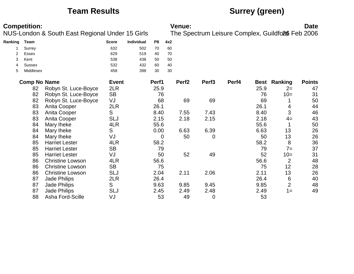## **Team Results Surrey (green)**

|         | <b>Competition:</b> | NUS-London & South East Regional Under 15 Girls |              |                   |       |     | Venue:            |                   |       |      | The Spectrum Leisure Complex, Guildfo26 Feb 2006 | <b>Date</b>   |
|---------|---------------------|-------------------------------------------------|--------------|-------------------|-------|-----|-------------------|-------------------|-------|------|--------------------------------------------------|---------------|
| Ranking | Team                |                                                 | <b>Score</b> | <b>Individual</b> | P8    | 4x2 |                   |                   |       |      |                                                  |               |
| 1       | Surrey              |                                                 | 632          | 502               | 70    | 60  |                   |                   |       |      |                                                  |               |
| 2       | Essex               |                                                 | 629          | 519               | 40    | 70  |                   |                   |       |      |                                                  |               |
| 3       | Kent                |                                                 | 538          | 438               | 50    | 50  |                   |                   |       |      |                                                  |               |
| 4       | <b>Sussex</b>       |                                                 | 532          | 432               | 60    | 40  |                   |                   |       |      |                                                  |               |
| 5       | Middlesex           |                                                 | 458          | 398               | 30    | 30  |                   |                   |       |      |                                                  |               |
|         | <b>Comp No Name</b> |                                                 | <b>Event</b> |                   | Perf1 |     | Perf <sub>2</sub> | Perf <sub>3</sub> | Perf4 |      | <b>Best Ranking</b>                              | <b>Points</b> |
|         | 82                  | Robyn St. Luce-Boyce                            | 2LR          |                   | 25.9  |     |                   |                   |       | 25.9 | $2=$                                             | 47            |
|         | 82                  | Robyn St. Luce-Boyce                            | <b>SB</b>    |                   | 76    |     |                   |                   |       | 76   | $10=$                                            | 31            |
|         | 82                  | Robyn St. Luce-Boyce                            | VJ           |                   | 68    |     | 69                | 69                |       | 69   |                                                  | 50            |
|         | 83                  | Anita Cooper                                    | 2LR          |                   | 26.1  |     |                   |                   |       | 26.1 | 4                                                | 44            |
|         | 83                  | Anita Cooper                                    | S            |                   | 8.40  |     | 7.55              | 7.43              |       | 8.40 | 3                                                | 46            |
|         | 83                  | Anita Cooper                                    | <b>SLJ</b>   |                   | 2.15  |     | 2.18              | 2.15              |       | 2.18 | $4=$                                             | 43            |
|         | 84                  | Mary Iheke                                      | 4LR          |                   | 55.6  |     |                   |                   |       | 55.6 |                                                  | 50            |
|         | 84                  | Mary Iheke                                      | S            |                   | 0.00  |     | 6.63              | 6.39              |       | 6.63 | 13                                               | 26            |
|         | 84                  | Mary Iheke                                      | VJ           |                   | 0     |     | 50                | 0                 |       | 50   | 13                                               | 26            |
|         | 85                  | <b>Harriet Lester</b>                           | 4LR          |                   | 58.2  |     |                   |                   |       | 58.2 | 8                                                | 36            |
|         | 85                  | <b>Harriet Lester</b>                           | <b>SB</b>    |                   | 79    |     |                   |                   |       | 79   | $7=$                                             | 37            |
|         | 85                  | <b>Harriet Lester</b>                           | VJ           |                   | 50    |     | 52                | 49                |       | 52   | $10=$                                            | 31            |
|         | 86                  | <b>Christine Lowson</b>                         | 4LR          |                   | 56.6  |     |                   |                   |       | 56.6 | $\overline{2}$                                   | 48            |
|         | 86                  | <b>Christine Lowson</b>                         | <b>SB</b>    |                   | 75    |     |                   |                   |       | 75   | 12                                               | 28            |
|         | 86                  | <b>Christine Lowson</b>                         | <b>SLJ</b>   |                   | 2.04  |     | 2.11              | 2.06              |       | 2.11 | 13                                               | 26            |
|         | 87                  | <b>Jade Philips</b>                             | 2LR          |                   | 26.4  |     |                   |                   |       | 26.4 | 6                                                | 40            |
|         | 87                  | <b>Jade Philips</b>                             | S            |                   | 9.63  |     | 9.85              | 9.45              |       | 9.85 | $\overline{2}$                                   | 48            |
|         | 87                  | <b>Jade Philips</b>                             | <b>SLJ</b>   |                   | 2.45  |     | 2.49              | 2.48              |       | 2.49 | $1 =$                                            | 49            |
|         | 88                  | Asha Ford-Scille                                | VJ           |                   | 53    |     | 49                | 0                 |       | 53   |                                                  |               |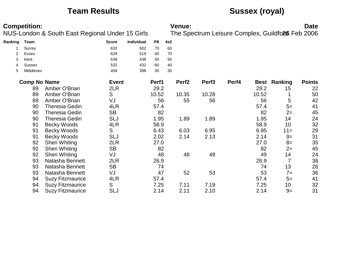## **Team Results Sussex (royal)**

|         | <b>Competition:</b> | NUS-London & South East Regional Under 15 Girls |              |            |                |     | <b>Venue:</b>     |                   |       |       | The Spectrum Leisure Complex, Guildfol Feb 2006 | <b>Date</b>   |
|---------|---------------------|-------------------------------------------------|--------------|------------|----------------|-----|-------------------|-------------------|-------|-------|-------------------------------------------------|---------------|
| Ranking | Team                |                                                 | <b>Score</b> | Individual | P <sub>8</sub> | 4x2 |                   |                   |       |       |                                                 |               |
| 1       | Surrey              |                                                 | 632          | 502        | 70             | 60  |                   |                   |       |       |                                                 |               |
| 2       | <b>Essex</b>        |                                                 | 629          | 519        | 40             | 70  |                   |                   |       |       |                                                 |               |
| 3       | Kent                |                                                 | 538          | 438        | 50             | 50  |                   |                   |       |       |                                                 |               |
| 4       | <b>Sussex</b>       |                                                 | 532          | 432        | 60             | 40  |                   |                   |       |       |                                                 |               |
| 5       | Middlesex           |                                                 | 458          | 398        | 30             | 30  |                   |                   |       |       |                                                 |               |
|         | <b>Comp No Name</b> |                                                 | <b>Event</b> |            | Perf1          |     | Perf <sub>2</sub> | Perf <sub>3</sub> | Perf4 |       | <b>Best Ranking</b>                             | <b>Points</b> |
|         | 89                  | Amber O'Brian                                   | 2LR          |            | 29.2           |     |                   |                   |       | 29.2  | 15                                              | 22            |
|         | 89                  | Amber O'Brian                                   | S            |            | 10.52          |     | 10.35             | 10.28             |       | 10.52 |                                                 | 50            |
|         | 89                  | Amber O'Brian                                   | VJ           |            | 56             |     | 55                | 56                |       | 56    | 5                                               | 42            |
|         | 90                  | <b>Theresia Gedin</b>                           | 4LR          |            | 57.4           |     |                   |                   |       | 57.4  | $5=$                                            | 41            |
|         | 90                  | <b>Theresia Gedin</b>                           | <b>SB</b>    |            | 82             |     |                   |                   |       | 82    | $2=$                                            | 45            |
|         | 90                  | <b>Theresia Gedin</b>                           | <b>SLJ</b>   |            | 1.95           |     | 1.89              | 1.89              |       | 1.95  | 14                                              | 24            |
|         | 91                  | <b>Becky Woods</b>                              | 4LR          |            | 58.9           |     |                   |                   |       | 58.9  | 10                                              | 32            |
|         | 91                  | <b>Becky Woods</b>                              | S            |            | 6.43           |     | 6.03              | 6.95              |       | 6.95  | $11 =$                                          | 29            |
|         | 91                  | <b>Becky Woods</b>                              | <b>SLJ</b>   |            | 2.02           |     | 2.14              | 2.13              |       | 2.14  | $9=$                                            | 31            |
|         | 92                  | <b>Sheri Whiting</b>                            | 2LR          |            | 27.0           |     |                   |                   |       | 27.0  | $8=$                                            | 35            |
|         | 92                  | <b>Sheri Whiting</b>                            | <b>SB</b>    |            | 82             |     |                   |                   |       | 82    | $2=$                                            | 45            |
|         | 92                  | <b>Sheri Whiting</b>                            | VJ           |            | 48             |     | 48                | 49                |       | 49    | 14                                              | 24            |
|         | 93                  | Natasha Bennett                                 | 2LR          |            | 26.9           |     |                   |                   |       | 26.9  | $\overline{7}$                                  | 38            |
|         | 93                  | Natasha Bennett                                 | <b>SB</b>    |            | 74             |     |                   |                   |       | 74    | 13                                              | 26            |
|         | 93                  | Natasha Bennett                                 | VJ           |            | 47             |     | 52                | 53                |       | 53    | $7 =$                                           | 36            |
|         | 94                  | <b>Suzy Fitzmaurice</b>                         | 4LR          |            | 57.4           |     |                   |                   |       | 57.4  | $5=$                                            | 41            |
|         | 94                  | <b>Suzy Fitzmaurice</b>                         | S            |            | 7.25           |     | 7.11              | 7.19              |       | 7.25  | 10                                              | 32            |
|         | 94                  | <b>Suzy Fitzmaurice</b>                         | <b>SLJ</b>   |            | 2.14           |     | 2.11              | 2.10              |       | 2.14  | $9=$                                            | 31            |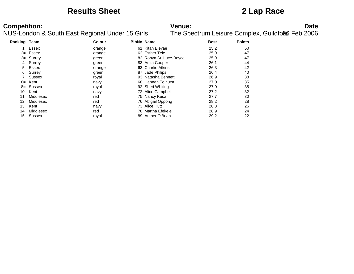### **Results Sheet 2 Lap Race**

# **Competition:**<br>**Date**<br>NUS-London & South East Regional Under 15 Girls The Spectrum Leisure Complex, Guildfoll Feb 2006

| <b>Ranking Team</b> |               | <b>Colour</b> |     | <b>BibNo Name</b>       | <b>Best</b> | <b>Points</b> |
|---------------------|---------------|---------------|-----|-------------------------|-------------|---------------|
|                     | Essex         | orange        |     | 61 Kitan Eleyae         | 25.2        | 50            |
|                     | $2 =$ Essex   | orange        |     | 62 Esther Tele          | 25.9        | 47            |
| $2 =$               | Surrey        | green         |     | 82 Robyn St. Luce-Boyce | 25.9        | 47            |
| 4                   | Surrey        | green         |     | 83 Anita Cooper         | 26.1        | 44            |
| 5                   | Essex         | orange        |     | 63 Charlie Atkins       | 26.3        | 42            |
| 6                   | Surrey        | green         | 87  | Jade Philips            | 26.4        | 40            |
|                     | <b>Sussex</b> | royal         |     | 93 Natasha Bennett      | 26.9        | 38            |
| $8=$                | Kent          | navy          |     | 68 Hannah Tolhurst      | 27.0        | 35            |
| $8=$                | Sussex        | royal         |     | 92 Sheri Whiting        | 27.0        | 35            |
| 10                  | Kent          | navy          |     | 72 Alice Campbell       | 27.2        | 32            |
| 11                  | Middlesex     | red           |     | 75 Nancy Kesa           | 27.7        | 30            |
| 12                  | Middlesex     | red           |     | 76 Abigail Oppong       | 28.2        | 28            |
| 13                  | Kent          | navy          |     | 73 Alice Hutt           | 28.3        | 26            |
| 14                  | Middlesex     | red           |     | 78 Martha Efekele       | 28.9        | 24            |
| 15                  | Sussex        | royal         | 89. | Amber O'Brian           | 29.2        | 22            |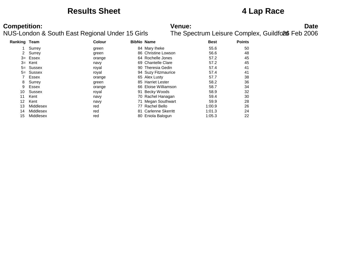### **Results Sheet 4 Lap Race**

# **Competition:**<br>**Date**<br>NUS-London & South East Regional Under 15 Girls The Spectrum Leisure Complex, Guildfoll Feb 2006

| <b>Ranking Team</b> |              | <b>Colour</b> | <b>BibNo Name</b> |                          | <b>Best</b> | <b>Points</b> |
|---------------------|--------------|---------------|-------------------|--------------------------|-------------|---------------|
|                     | Surrey       | green         |                   | 84 Mary Iheke            | 55.6        | 50            |
| $2^{\circ}$         | Surrey       | green         |                   | 86 Christine Lowson      | 56.6        | 48            |
| $3=$                | Essex        | orange        |                   | 64 Rochelle Jones        | 57.2        | 45            |
| $3=$                | Kent         | navy          |                   | 69 Chantelle Clare       | 57.2        | 45            |
|                     | $5 =$ Sussex | royal         |                   | 90 Theresia Gedin        | 57.4        | 41            |
|                     | $5 =$ Sussex | royal         |                   | 94 Suzy Fitzmaurice      | 57.4        | 41            |
|                     | Essex        | orange        |                   | 65 Alex Lusty            | 57.7        | 38            |
| 8                   | Surrey       | green         |                   | 85 Harriet Lester        | 58.2        | 36            |
| 9                   | Essex        | orange        |                   | 66 Eloise Williamson     | 58.7        | 34            |
| 10                  | Sussex       | royal         |                   | 91 Becky Woods           | 58.9        | 32            |
| 11                  | Kent         | navy          |                   | 70 Rachel Hanagan        | 59.4        | 30            |
| 12                  | Kent         | navy          |                   | 71 Megan Southwart       | 59.9        | 28            |
| 13                  | Middlesex    | red           |                   | 77 Rachel Bello          | 1:00.9      | 26            |
| 14                  | Middlesex    | red           | 81                | <b>Carlenne Skerritt</b> | 1:01.3      | 24            |
| 15                  | Middlesex    | red           |                   | 80 Eniola Balogun        | 1:05.3      | 22            |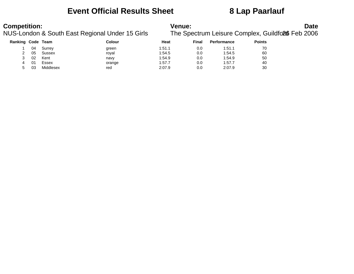### **Event Official Results Sheet 8 Lap Paarlauf**

# **Competition:**<br>**Date**<br>NUS-London & South East Regional Under 15 Girls The Spectrum Leisure Complex, Guildfoll Feb 2006

| Ranking |    | Code Team | Colour | Heat   | Final | <b>Performance</b> | <b>Points</b> |
|---------|----|-----------|--------|--------|-------|--------------------|---------------|
|         | 04 | Surrey    | green  | 1:51.1 | 0.0   | 1:51.1             | 70            |
|         | 05 | Sussex    | royal  | 1:54.5 | 0.0   | 1:54.5             | 60            |
|         | 02 | Kent      | navy   | 1:54.9 | 0.0   | 1:54.9             | 50            |
| 4       | 01 | Essex     | orange | 1:57.7 | 0.0   | 1:57.7             | 40            |
| 5       | 03 | Middlesex | red    | 2:07.9 | 0.0   | 2:07.9             | 30            |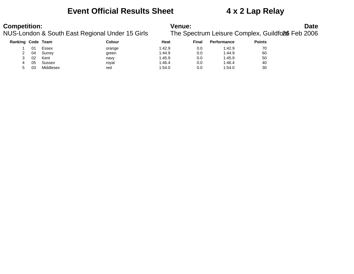### **Event Official Results Sheet 4 x 2 Lap Relay**

# **Competition:**<br>**Date**<br>NUS-London & South East Regional Under 15 Girls The Spectrum Leisure Complex, Guildfoll Feb 2006

| <b>Ranking Code</b> |    | Team      | Colour | Heat   | Final | <b>Performance</b> | <b>Points</b> |
|---------------------|----|-----------|--------|--------|-------|--------------------|---------------|
|                     | 01 | Essex     | orange | 1:42.9 | 0.0   | 1:42.9             | 70            |
| 2                   | 04 | Surrey    | green  | 1:44.9 | 0.0   | 1:44.9             | 60            |
|                     | 02 | Kent      | navy   | 1:45.9 | 0.0   | 1:45.9             | 50            |
|                     | 05 | Sussex    | royal  | 1:46.4 | 0.0   | 1:46.4             | 40            |
|                     | 03 | Middlesex | red    | 1:54.0 | 0.0   | 1:54.0             | 30            |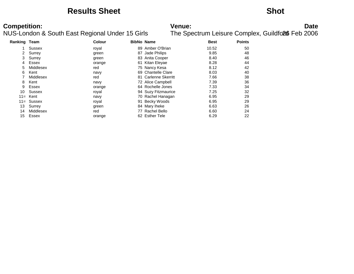### **Results Sheet Shot**

# **Competition:**<br>**Date**<br>NUS-London & South East Regional Under 15 Girls The Spectrum Leisure Complex, Guildfoll Feb 2006

| Ranking Team |               | <b>Colour</b> | <b>BibNo Name</b> |                      | <b>Best</b> | <b>Points</b> |
|--------------|---------------|---------------|-------------------|----------------------|-------------|---------------|
|              | <b>Sussex</b> | royal         |                   | 89 Amber O'Brian     | 10.52       | 50            |
|              | Surrey        | green         | 87                | Jade Philips         | 9.85        | 48            |
| 3            | Surrey        | green         |                   | 83 Anita Cooper      | 8.40        | 46            |
| 4            | Essex         | orange        |                   | 61 Kitan Eleyae      | 8.28        | 44            |
| 5            | Middlesex     | red           |                   | 75 Nancy Kesa        | 8.12        | 42            |
| 6            | Kent          | navy          |                   | 69 Chantelle Clare   | 8.03        | 40            |
|              | Middlesex     | red           |                   | 81 Carlenne Skerritt | 7.66        | 38            |
| 8            | Kent          | navy          |                   | 72 Alice Campbell    | 7.39        | 36            |
| 9            | Essex         | orange        |                   | 64 Rochelle Jones    | 7.33        | 34            |
| 10           | Sussex        | royal         |                   | 94 Suzy Fitzmaurice  | 7.25        | 32            |
| $11 =$       | Kent          | navy          |                   | 70 Rachel Hanagan    | 6.95        | 29            |
|              | $11 =$ Sussex | royal         |                   | 91 Becky Woods       | 6.95        | 29            |
| 13           | Surrey        | green         |                   | 84 Mary Iheke        | 6.63        | 26            |
| 14           | Middlesex     | red           |                   | 77 Rachel Bello      | 6.60        | 24            |
| 15           | Essex         | orange        |                   | 62 Esther Tele       | 6.29        | 22            |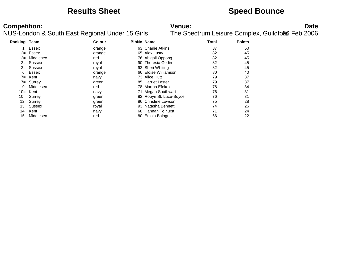### **Results Sheet Speed Bounce**

# **Competition:**<br>**Date**<br>NUS-London & South East Regional Under 15 Girls The Spectrum Leisure Complex, Guildfoll Feb 2006

| Ranking Team |              | Colour |     | <b>BibNo Name</b>       | Total | <b>Points</b> |
|--------------|--------------|--------|-----|-------------------------|-------|---------------|
|              | Essex        | orange |     | 63 Charlie Atkins       | 87    | 50            |
|              | $2 =$ Essex  | orange |     | 65 Alex Lusty           | 82    | 45            |
| $2 =$        | Middlesex    | red    |     | 76 Abigail Oppong       | 82    | 45            |
|              | $2 =$ Sussex | royal  |     | 90 Theresia Gedin       | 82    | 45            |
|              | $2 =$ Sussex | royal  |     | 92 Sheri Whiting        | 82    | 45            |
| 6            | Essex        | orange |     | 66 Eloise Williamson    | 80    | 40            |
|              | $7=$ Kent    | navy   |     | 73 Alice Hutt           | 79    | 37            |
|              | 7= Surrey    | green  |     | 85 Harriet Lester       | 79    | 37            |
| 9            | Middlesex    | red    |     | 78 Martha Efekele       | 78    | 34            |
|              | 10= Kent     | navy   |     | 71 Megan Southwart      | 76    | 31            |
|              | 10= Surrey   | green  |     | 82 Robyn St. Luce-Boyce | 76    | 31            |
| 12           | Surrey       | green  |     | 86 Christine Lowson     | 75    | 28            |
| 13           | Sussex       | royal  |     | 93 Natasha Bennett      | 74    | 26            |
| 14           | Kent         | navy   | 68. | Hannah Tolhurst         | 71    | 24            |
| 15           | Middlesex    | red    |     | 80 Eniola Balogun       | 66    | 22            |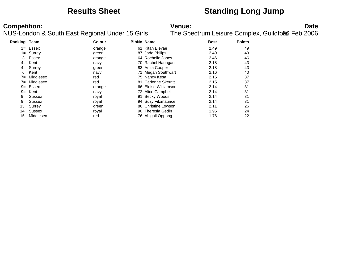### **Results Sheet Standing Long Jump**

### **Competition:**<br>**Date**<br>NUS-London & South East Regional Under 15 Girls The Spectrum Leisure Complex, Guildfoll Feb 2006 The Spectrum Leisure Complex, Guildford6 Feb 2006

| <b>Ranking Team</b> |               | <b>Colour</b> | <b>BibNo Name</b> |                      | <b>Best</b> | <b>Points</b> |
|---------------------|---------------|---------------|-------------------|----------------------|-------------|---------------|
|                     | $1 =$ Essex   | orange        | 61                | Kitan Eleyae         | 2.49        | 49            |
|                     | $1 =$ Surrey  | green         | 87                | Jade Philips         | 2.49        | 49            |
| 3                   | Essex         | orange        |                   | 64 Rochelle Jones    | 2.46        | 46            |
| $4=$                | Kent          | navy          |                   | 70 Rachel Hanagan    | 2.18        | 43            |
|                     | $4 =$ Surrey  | green         |                   | 83 Anita Cooper      | 2.18        | 43            |
| 6                   | Kent          | navy          |                   | 71 Megan Southwart   | 2.16        | 40            |
| 7=                  | Middlesex     | red           |                   | 75 Nancy Kesa        | 2.15        | 37            |
| $7 =$               | Middlesex     | red           |                   | 81 Carlenne Skerritt | 2.15        | 37            |
|                     | $9 =$ Essex   | orange        |                   | 66 Eloise Williamson | 2.14        | 31            |
|                     | $9 =$ Kent    | navy          |                   | 72 Alice Campbell    | 2.14        | 31            |
|                     | $9 =$ Sussex  | royal         |                   | 91 Becky Woods       | 2.14        | 31            |
|                     | $9 =$ Sussex  | royal         |                   | 94 Suzy Fitzmaurice  | 2.14        | 31            |
| 13                  | Surrey        | green         |                   | 86 Christine Lowson  | 2.11        | 26            |
| 14                  | <b>Sussex</b> | royal         | 90.               | Theresia Gedin       | 1.95        | 24            |
| 15                  | Middlesex     | red           |                   | 76 Abigail Oppong    | 1.76        | 22            |